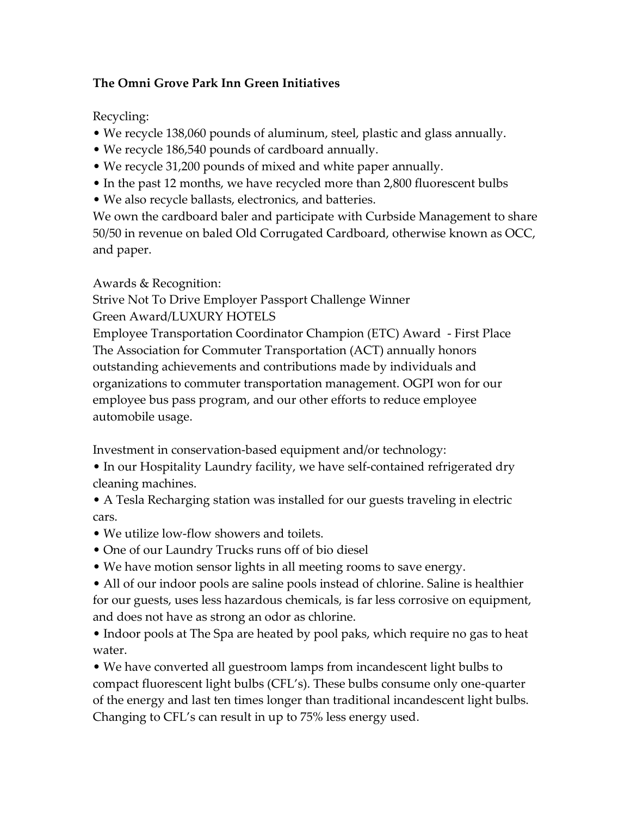## **The Omni Grove Park Inn Green Initiatives**

Recycling:

- We recycle 138,060 pounds of aluminum, steel, plastic and glass annually.
- We recycle 186,540 pounds of cardboard annually.
- We recycle 31,200 pounds of mixed and white paper annually.
- In the past 12 months, we have recycled more than 2,800 fluorescent bulbs
- We also recycle ballasts, electronics, and batteries.

We own the cardboard baler and participate with Curbside Management to share 50/50 in revenue on baled Old Corrugated Cardboard, otherwise known as OCC, and paper.

Awards & Recognition:

Strive Not To Drive Employer Passport Challenge Winner Green Award/LUXURY HOTELS

Employee Transportation Coordinator Champion (ETC) Award - First Place The Association for Commuter Transportation (ACT) annually honors outstanding achievements and contributions made by individuals and organizations to commuter transportation management. OGPI won for our employee bus pass program, and our other efforts to reduce employee automobile usage.

Investment in conservation-based equipment and/or technology:

• In our Hospitality Laundry facility, we have self-contained refrigerated dry cleaning machines.

• A Tesla Recharging station was installed for our guests traveling in electric cars.

- We utilize low-flow showers and toilets.
- One of our Laundry Trucks runs off of bio diesel
- We have motion sensor lights in all meeting rooms to save energy.

• All of our indoor pools are saline pools instead of chlorine. Saline is healthier for our guests, uses less hazardous chemicals, is far less corrosive on equipment, and does not have as strong an odor as chlorine.

• Indoor pools at The Spa are heated by pool paks, which require no gas to heat water.

• We have converted all guestroom lamps from incandescent light bulbs to compact fluorescent light bulbs (CFL's). These bulbs consume only one-quarter of the energy and last ten times longer than traditional incandescent light bulbs. Changing to CFL's can result in up to 75% less energy used.